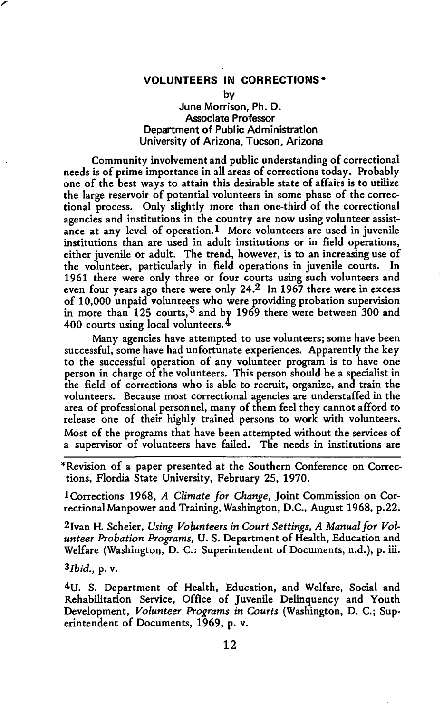## **VOLUNTEERS IN CORRECTIONS\***

by

## June Morrison, Ph.D. Associate Professor Department of Public Administration University of Arizona, Tucson, Arizona

Community involvement and public understanding of correctional needs is of prime importance in all areas of corrections today. Probably one of the best ways to attain this desirable state of affairs is to utilize the large reservoir of potential volunteers in some phase of the correctional process. Only slightly more than one-third of the correctional agencies and institutions in the country are now using volunteer assistance at any level of operation.I More volunteers are used in juvenile institutions than are used in adult institutions or in field operations, either juvenile or adult. The trend, however, is to an increasing use of the volunteer, particularly in field operations in juvenile courts. In 1961 there were only three or four courts using such volunteers and even four years ago there were only 24.2 In 1967 there were in excess of 10,000 unpaid volunteers who were providing probation supervision in more than  $125$  courts,  $3$  and by 1969 there were between  $300$  and 400 courts using local volunteers.  $4$ 

Many agencies have attempted to use volunteers; some have been successful, some have had unfortunate experiences. Apparently the key to the successful operation of any volunteer program is to have one person in charge of the volunteers. This person should be a specialist in the field of corrections who is able to recruit, organize, and train the volunteers. Because most correctional agencies are understaffed in the area of professional personnel, many of them feel they cannot afford to release one of their highly trained persons to work with volunteers. Most of the programs that have been attempted without the services of a supervisor of volunteers have failed. The needs in institutions are

\*Revision of a paper presented at the Southern Conference on Corrections, Flordia State University, February 25, 1970.

!Corrections 1968, *A Climate for Change,* Joint Commission on Correctional Manpower and Training, Washington, D.C., August 1968, p.22.

2Jvan H. Scheier, *Using Volunteers in Court Settings, A Manual for Volunteer Probation Programs,* U. S. Department of Health, Education and Welfare (Washington, D. C.: Superintendent of Documents, n.d.), p. iii.

*3Jbid.,* p. v.

*r* 

4U. S. Department of Health, Education, and Welfare, Social and Rehabilitation Service, Office of Juvenile Delinquency and Youth Development, *Volunteer Programs in Courts* (Washington, D. C.; Superintendent of Documents, 1969, p. v.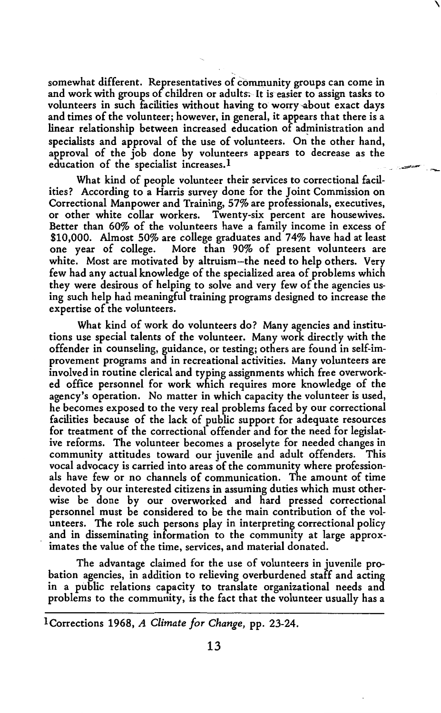somewhat different. Representatives of community groups can come in and work with groups of children or adults. It is easier to assign tasks to volunteers in such facilities without having to worry-about exact days and times of the volunteer; however, in general, it appears that there is a linear relationship between increased education of administration and specialists and approval of the use of volunteers. On the other hand, approval of the job done by volunteers appears to decrease as the education of the specialist increases.<sup>1</sup>

\

What kind of people volunteer their services to correctional facilities? According to a Harris survey done for the Joint Commission on Correctional Manpower and Training, 57% are professionals, executives, or other white collar workers. Twenty-six percent are housewives. Better than 60% of the volunteers have a family income in excess of \$10,000. Almost 50% are college graduates and 74% have had at least one year of college. More than 90% of present volunteers are white. Most are motivated by altruism-the need to help others. Very few had any actual knowledge of the specialized area of problems which they were desirous of helping to solve and very few of the agencies using such help had meaningful training programs designed to increase the expertise of the volunteers.

What kind of work do volunteers do? Many agencies and institutions use special talents of the volunteer. Many work directly with the offender in counseling, guidance, or testing; others are found in self-improvement programs and in recreational activities. Many volunteers are involved in routine clerical and typing assignments which free overworked office personnel for work which requires more knowledge of the agency's operation. No matter in which capacity the volunteer is used, he becomes exposed to the very real problems faced by our correctional facilities because of the lack of public support for adequate resources for treatment of the correctional offender and for the need for legislative reforms. The volunteer becomes a proselyte for needed changes in community attitudes toward our juvenile and adult offenders. This vocal advocacy is carried into areas of the community where professionals have few or no channels of communication. The amount of time devoted by our interested citizens in assuming duties which must otherwise be done by our overworked and hard pressed correctional personnel must be considered to be the main contribution of the volunteers. The role such persons play in interpreting correctional policy and in disseminating information to the community at large approximates the value of the time, services, and material donated.

The advantage claimed for the use of volunteers in juvenile probation agencies, in addition to relieving overburdened staff and acting in a public relations capacity to translate organizational needs and problems to the community, is the fact that the volunteer usually has a

lCorrections 1968, *A Climate for Change,* pp. 23-24.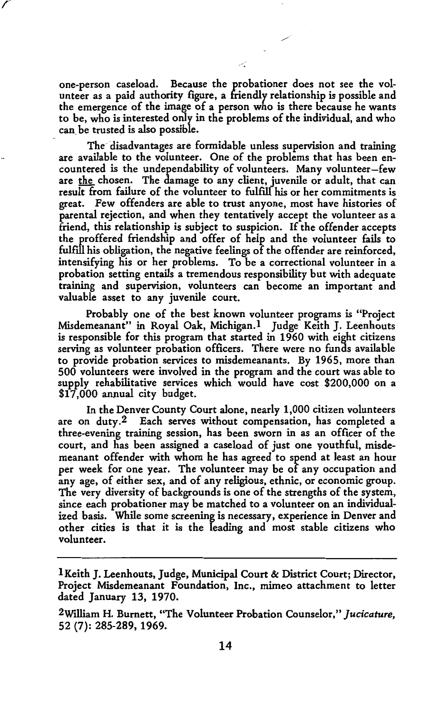one-person caseload. Because the probationer does not see the volunteer as a paid authority figure, a friendly relationship is possible and the emergence of the image of a person who is there because he wants to be, who is interested only in the problems of the individual, and who can. be trusted is also possible.

The- disadvantages are formidable unless supervision and training are available to the volunteer. One of the problems that has been encountered is the undependability of volunteers. Many volunteer-few are the chosen. The damage to any client, juvenile or adult, that can result from failure of the volunteer to fulfill his or her commitments is great. Few offenders are able to trust anyone, most have histories of parental rejection, and when they tentatively accept the volunteer as a friend, this relationship is subject to suspicion. If the offender accepts the proffered friendship and offer of help and the volunteer fails to fulfill his obligation, the negative feelings of the offender are reinforced, intensifying his or her problems. To be a correctional volunteer in a probation setting entails a tremendous responsibility but with adequate training and supervision, volunteers can become an important and valuable asset to any juvenile court.

Probably one of the best known volunteer programs is "Project Misdemeanant" in Royal Oak, Michigan.<sup>1</sup> Judge Keith J. Leenhouts is responsible for this program that started in 1960 with eight citizens serving as volunteer probation officers. There were no funds available to provide probation services to misdemeanants. By 1965, more than 500 volunteers were involved in the program and the court was able to supply rehabilitative services which would have cost \$200,000 on a S17 ,000 annual city budget.

In the Denver County Court alone, nearly 1,000 citizen volunteers are on duty.2 Each serves without compensation, has completed a three-evening training session, has been sworn in as an officer of the court, and has been assigned a caseload of just one youthful, misdemeanant offender with whom he has agreed to spend at least an hour per week for one year. The volunteer may be of any occupation and any age, of either sex, and of any religious, ethnic, or economic group. The very diversity of backgrounds is one of the strengths of the system, since each probationer may be matched to a volunteer on an individualized basis. While some screening is necessary, experience in Denver and other cities is that it is the leading and most stable citizens who volunteer.

I Keith J. Leenhouts, Judge, Municipal Court & District Court; Director, Project Misdemeanant Foundation, Inc., mimeo attachment to letter dated January 13, 1970.

<sup>2</sup>Wtlliam H. Burnett, "The Volunteer Probation Counselor," *Jucicature,*  52 (7): 285-289, 1969.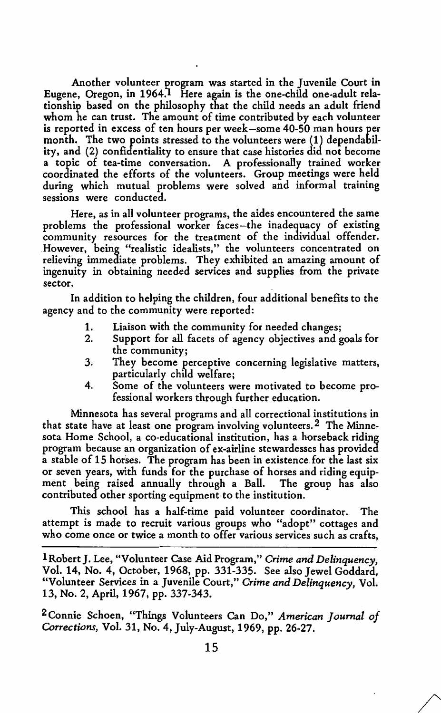Another volunteer program was started in the Juvenile Court in Eugene, Oregon, in 1964.<sup>1</sup> Here again is the one-child one-adult relationship based on the philosophy that the child needs an adult friend whom he can trust. The amount of time contributed by each volunteer is reported in excess of ten hours per week-some 40-50 man hours per month. The two points stressed to the volunteers were (1) dependability, and (2) confidentiality to ensure that case histories did not become a topic of tea-time conversation. A professionally trained worker coordinated the efforts of the volunteers. Group meetings were held during which mutual problems were solved and informal training sessions were conducted.

Here, as in all volunteer programs, the aides encountered the same problems the professional worker faces-the inadequacy of existing community resources for the treatment of the individual offender. .However, being "realistic idealists," the volunteers concentrated on relieving immediate problems. They exhibited an amazing amount of ingenuity in obtaining needed services and supplies from the private sector.

In addition to helping the children, four additional benefits to the agency and to the community were reported:

- 1. Liaison with the community for needed changes;
- 2. Support for all facets of agency objectives and goals for the community;
- 3. They become perceptive concerning legislative matters, particularly child welfare;
- 4. Some of the volunteers were motivated to become professional workers through further education.

Minnesota has several programs and all correctional institutions in that state have at least one program involving volunteers. 2 The Minnesota Home School, a co-educational institution, has a horseback riding program because an organization of ex-airline stewardesses has provided a stable of 15 horses. The program has been in existence. for the last six or seven years, with funds for the purchase of horses and riding equipment being raised annually through a Ball. The group has also contributed other sporting equipment to the institution.

This school has a half-time paid volunteer coordinator. The attempt is made to recruit various groups who "adopt" cottages and who come once or twice a month to offer various services such as crafts,

lRobertJ. Lee, "Volunteer Case Aid Program," *Crime and Delinquency,*  Vol. 14, No. 4, October, 1968, pp. 331-335. See also Jewel Goddard, "Volunteer Services in a Juvenile Court," *Crime and Delinquency,* Vol. 13, No. 2, April, 1967, pp. 337-343.

2Connie Schoen, "Things Volunteers Can Do," *American Journal of Corrections,* Vol. 31, No. 4, July-August, 1969, pp. 26-27.